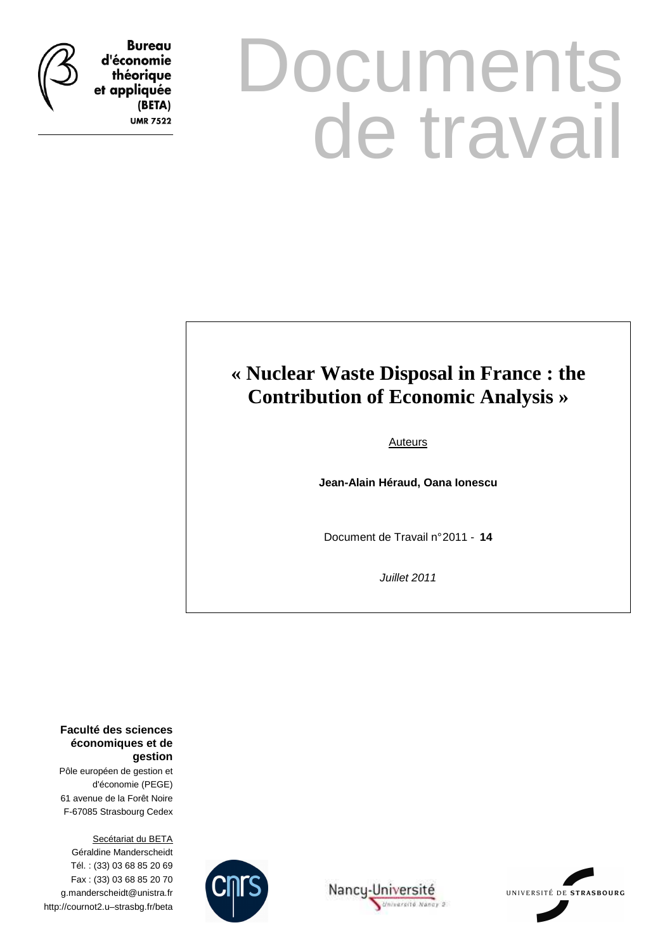

**Bureau** d'économie théorique et appliquée (BETA) **UMR 7522** 

# **Documents** de travail

## **« Nuclear Waste Disposal in France : the Contribution of Economic Analysis »**

Auteurs

**Jean-Alain Héraud, Oana Ionescu** 

Document de Travail n° 2011 - **14**

Juillet 2011

**Faculté des sciences économiques et de gestion**

Pôle européen de gestion et d'économie (PEGE) 61 avenue de la Forêt Noire F-67085 Strasbourg Cedex

Secétariat du BETA Géraldine Manderscheidt Tél. : (33) 03 68 85 20 69 Fax : (33) 03 68 85 20 70 g.manderscheidt@unistra.fr http://cournot2.u–strasbg.fr/beta





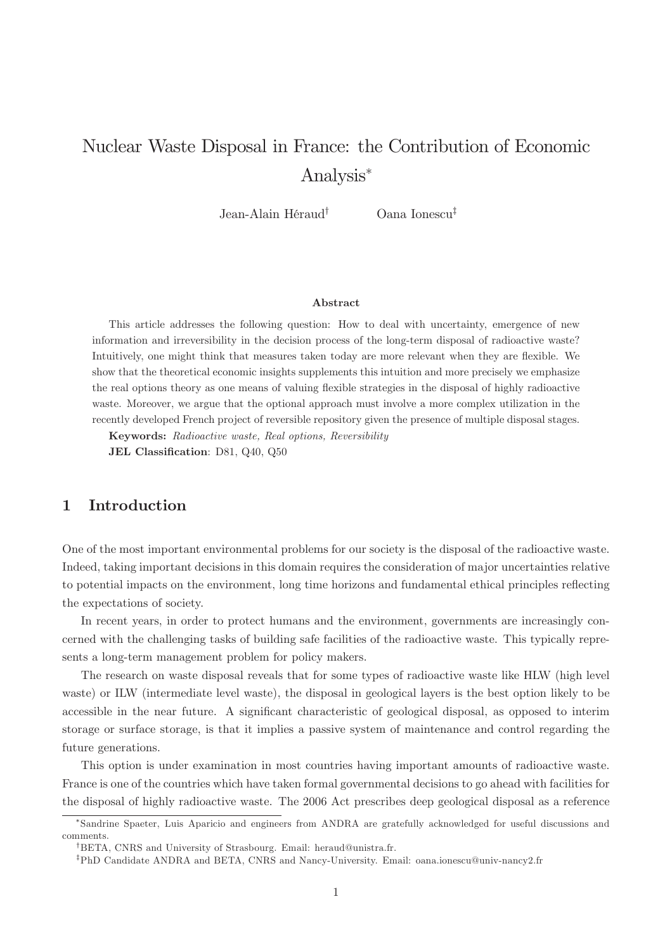## Nuclear Waste Disposal in France: the Contribution of Economic Analysis

Jean-Alain Héraud<sup>†</sup> Oana Ionescu<sup>‡</sup>

#### Abstract

This article addresses the following question: How to deal with uncertainty, emergence of new information and irreversibility in the decision process of the long-term disposal of radioactive waste? Intuitively, one might think that measures taken today are more relevant when they are exible. We show that the theoretical economic insights supplements this intuition and more precisely we emphasize the real options theory as one means of valuing flexible strategies in the disposal of highly radioactive waste. Moreover, we argue that the optional approach must involve a more complex utilization in the recently developed French project of reversible repository given the presence of multiple disposal stages.

Keywords: Radioactive waste, Real options, Reversibility JEL Classification: D81, Q40, Q50

#### 1 Introduction

One of the most important environmental problems for our society is the disposal of the radioactive waste. Indeed, taking important decisions in this domain requires the consideration of major uncertainties relative to potential impacts on the environment, long time horizons and fundamental ethical principles reflecting the expectations of society.

In recent years, in order to protect humans and the environment, governments are increasingly concerned with the challenging tasks of building safe facilities of the radioactive waste. This typically represents a long-term management problem for policy makers.

The research on waste disposal reveals that for some types of radioactive waste like HLW (high level waste) or ILW (intermediate level waste), the disposal in geological layers is the best option likely to be accessible in the near future. A significant characteristic of geological disposal, as opposed to interim storage or surface storage, is that it implies a passive system of maintenance and control regarding the future generations.

This option is under examination in most countries having important amounts of radioactive waste. France is one of the countries which have taken formal governmental decisions to go ahead with facilities for the disposal of highly radioactive waste. The 2006 Act prescribes deep geological disposal as a reference

Sandrine Spaeter, Luis Aparicio and engineers from ANDRA are gratefully acknowledged for useful discussions and comments.

<sup>&</sup>lt;sup>†</sup>BETA, CNRS and University of Strasbourg. Email: heraud@unistra.fr.

<sup>&</sup>lt;sup>‡</sup>PhD Candidate ANDRA and BETA, CNRS and Nancy-University. Email: oana.ionescu@univ-nancy2.fr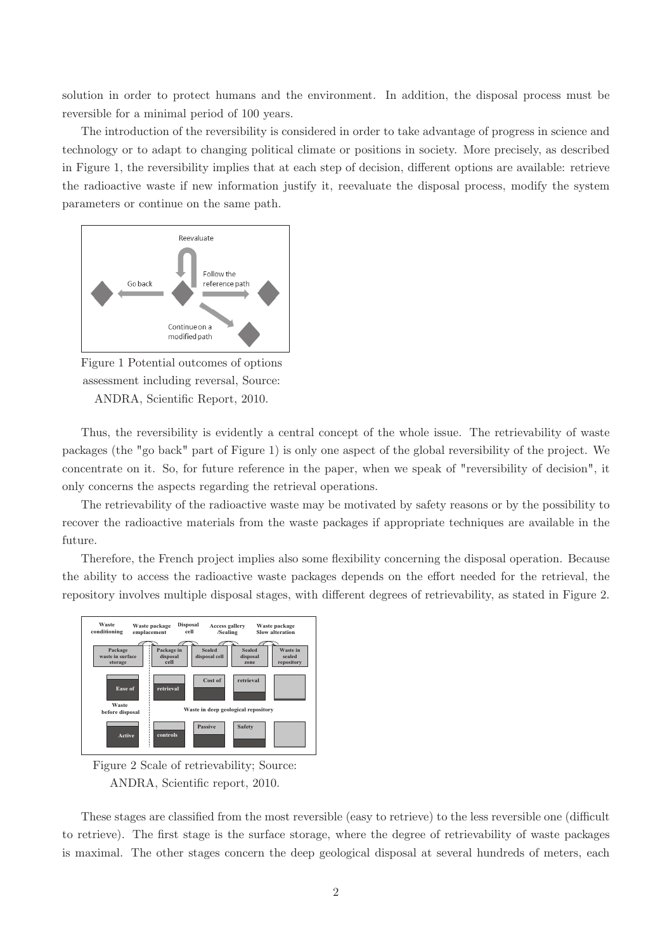solution in order to protect humans and the environment. In addition, the disposal process must be reversible for a minimal period of 100 years.

The introduction of the reversibility is considered in order to take advantage of progress in science and technology or to adapt to changing political climate or positions in society. More precisely, as described in Figure 1, the reversibility implies that at each step of decision, different options are available: retrieve the radioactive waste if new information justify it, reevaluate the disposal process, modify the system parameters or continue on the same path.



Figure 1 Potential outcomes of options assessment including reversal, Source: ANDRA, Scientific Report, 2010.

Thus, the reversibility is evidently a central concept of the whole issue. The retrievability of waste packages (the "go back" part of Figure 1) is only one aspect of the global reversibility of the project. We concentrate on it. So, for future reference in the paper, when we speak of "reversibility of decision", it only concerns the aspects regarding the retrieval operations.

The retrievability of the radioactive waste may be motivated by safety reasons or by the possibility to recover the radioactive materials from the waste packages if appropriate techniques are available in the future.

Therefore, the French project implies also some flexibility concerning the disposal operation. Because the ability to access the radioactive waste packages depends on the effort needed for the retrieval, the repository involves multiple disposal stages, with different degrees of retrievability, as stated in Figure 2.



Figure 2 Scale of retrievability; Source: ANDRA, Scientific report, 2010.

These stages are classified from the most reversible (easy to retrieve) to the less reversible one (difficult to retrieve). The first stage is the surface storage, where the degree of retrievability of waste packages is maximal. The other stages concern the deep geological disposal at several hundreds of meters, each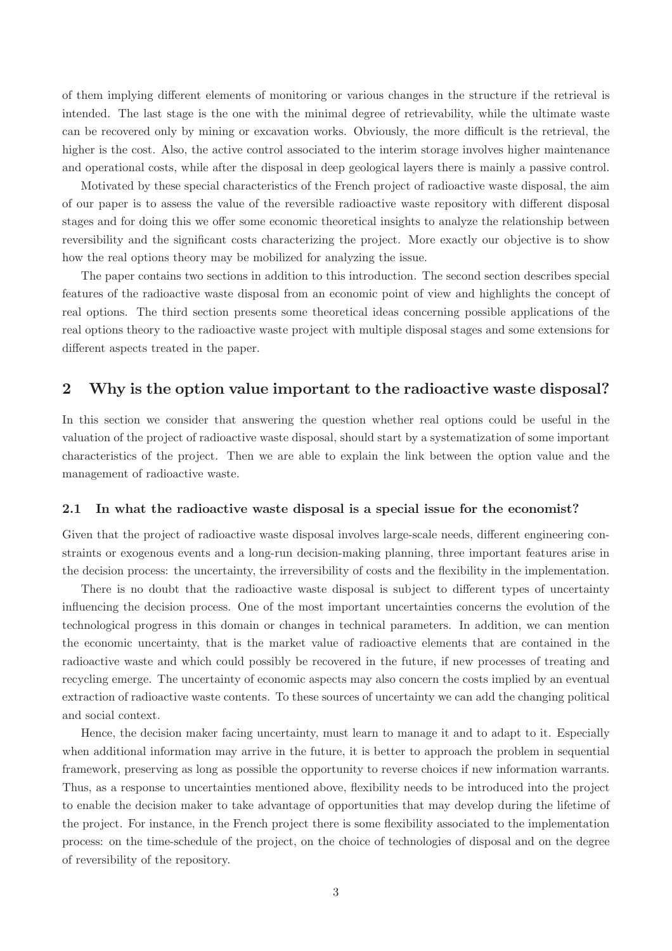of them implying different elements of monitoring or various changes in the structure if the retrieval is intended. The last stage is the one with the minimal degree of retrievability, while the ultimate waste can be recovered only by mining or excavation works. Obviously, the more difficult is the retrieval, the higher is the cost. Also, the active control associated to the interim storage involves higher maintenance and operational costs, while after the disposal in deep geological layers there is mainly a passive control.

Motivated by these special characteristics of the French project of radioactive waste disposal, the aim of our paper is to assess the value of the reversible radioactive waste repository with different disposal stages and for doing this we offer some economic theoretical insights to analyze the relationship between reversibility and the significant costs characterizing the project. More exactly our objective is to show how the real options theory may be mobilized for analyzing the issue.

The paper contains two sections in addition to this introduction. The second section describes special features of the radioactive waste disposal from an economic point of view and highlights the concept of real options. The third section presents some theoretical ideas concerning possible applications of the real options theory to the radioactive waste project with multiple disposal stages and some extensions for different aspects treated in the paper.

#### 2 Why is the option value important to the radioactive waste disposal?

In this section we consider that answering the question whether real options could be useful in the valuation of the project of radioactive waste disposal, should start by a systematization of some important characteristics of the project. Then we are able to explain the link between the option value and the management of radioactive waste.

#### 2.1 In what the radioactive waste disposal is a special issue for the economist?

Given that the project of radioactive waste disposal involves large-scale needs, different engineering constraints or exogenous events and a long-run decision-making planning, three important features arise in the decision process: the uncertainty, the irreversibility of costs and the flexibility in the implementation.

There is no doubt that the radioactive waste disposal is subject to different types of uncertainty influencing the decision process. One of the most important uncertainties concerns the evolution of the technological progress in this domain or changes in technical parameters. In addition, we can mention the economic uncertainty, that is the market value of radioactive elements that are contained in the radioactive waste and which could possibly be recovered in the future, if new processes of treating and recycling emerge. The uncertainty of economic aspects may also concern the costs implied by an eventual extraction of radioactive waste contents. To these sources of uncertainty we can add the changing political and social context.

Hence, the decision maker facing uncertainty, must learn to manage it and to adapt to it. Especially when additional information may arrive in the future, it is better to approach the problem in sequential framework, preserving as long as possible the opportunity to reverse choices if new information warrants. Thus, as a response to uncertainties mentioned above, flexibility needs to be introduced into the project to enable the decision maker to take advantage of opportunities that may develop during the lifetime of the project. For instance, in the French project there is some flexibility associated to the implementation process: on the time-schedule of the project, on the choice of technologies of disposal and on the degree of reversibility of the repository.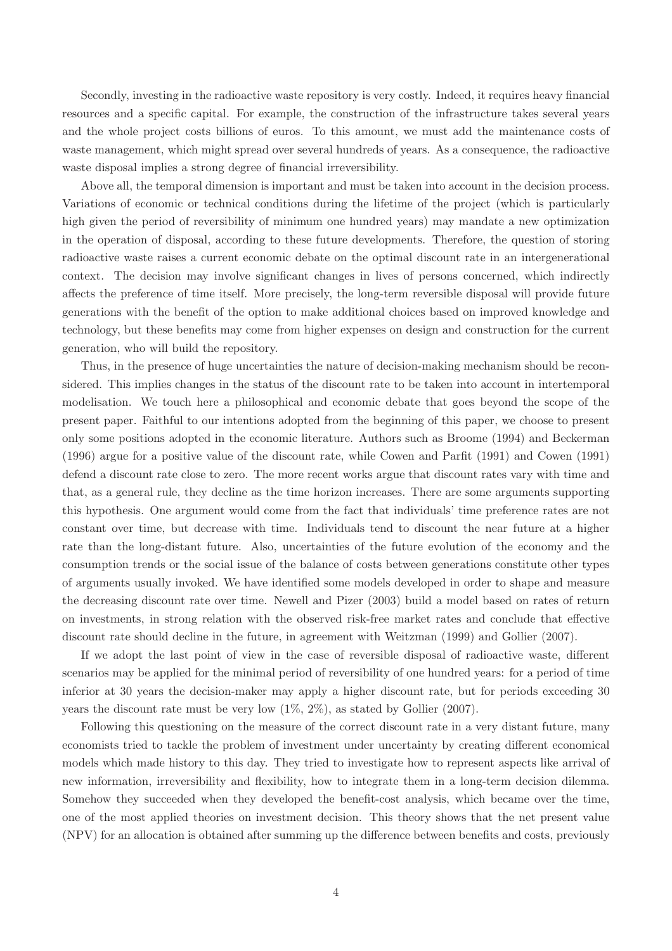Secondly, investing in the radioactive waste repository is very costly. Indeed, it requires heavy financial resources and a specific capital. For example, the construction of the infrastructure takes several years and the whole project costs billions of euros. To this amount, we must add the maintenance costs of waste management, which might spread over several hundreds of years. As a consequence, the radioactive waste disposal implies a strong degree of financial irreversibility.

Above all, the temporal dimension is important and must be taken into account in the decision process. Variations of economic or technical conditions during the lifetime of the project (which is particularly high given the period of reversibility of minimum one hundred years) may mandate a new optimization in the operation of disposal, according to these future developments. Therefore, the question of storing radioactive waste raises a current economic debate on the optimal discount rate in an intergenerational context. The decision may involve significant changes in lives of persons concerned, which indirectly affects the preference of time itself. More precisely, the long-term reversible disposal will provide future generations with the benefit of the option to make additional choices based on improved knowledge and technology, but these benefits may come from higher expenses on design and construction for the current generation, who will build the repository.

Thus, in the presence of huge uncertainties the nature of decision-making mechanism should be reconsidered. This implies changes in the status of the discount rate to be taken into account in intertemporal modelisation. We touch here a philosophical and economic debate that goes beyond the scope of the present paper. Faithful to our intentions adopted from the beginning of this paper, we choose to present only some positions adopted in the economic literature. Authors such as Broome (1994) and Beckerman  $(1996)$  argue for a positive value of the discount rate, while Cowen and Parfit  $(1991)$  and Cowen  $(1991)$ defend a discount rate close to zero. The more recent works argue that discount rates vary with time and that, as a general rule, they decline as the time horizon increases. There are some arguments supporting this hypothesis. One argument would come from the fact that individuals' time preference rates are not constant over time, but decrease with time. Individuals tend to discount the near future at a higher rate than the long-distant future. Also, uncertainties of the future evolution of the economy and the consumption trends or the social issue of the balance of costs between generations constitute other types of arguments usually invoked. We have identified some models developed in order to shape and measure the decreasing discount rate over time. Newell and Pizer (2003) build a model based on rates of return on investments, in strong relation with the observed risk-free market rates and conclude that effective discount rate should decline in the future, in agreement with Weitzman (1999) and Gollier (2007).

If we adopt the last point of view in the case of reversible disposal of radioactive waste, different scenarios may be applied for the minimal period of reversibility of one hundred years: for a period of time inferior at 30 years the decision-maker may apply a higher discount rate, but for periods exceeding 30 years the discount rate must be very low  $(1\%, 2\%)$ , as stated by Gollier (2007).

Following this questioning on the measure of the correct discount rate in a very distant future, many economists tried to tackle the problem of investment under uncertainty by creating different economical models which made history to this day. They tried to investigate how to represent aspects like arrival of new information, irreversibility and flexibility, how to integrate them in a long-term decision dilemma. Somehow they succeeded when they developed the benefit-cost analysis, which became over the time, one of the most applied theories on investment decision. This theory shows that the net present value (NPV) for an allocation is obtained after summing up the difference between benefits and costs, previously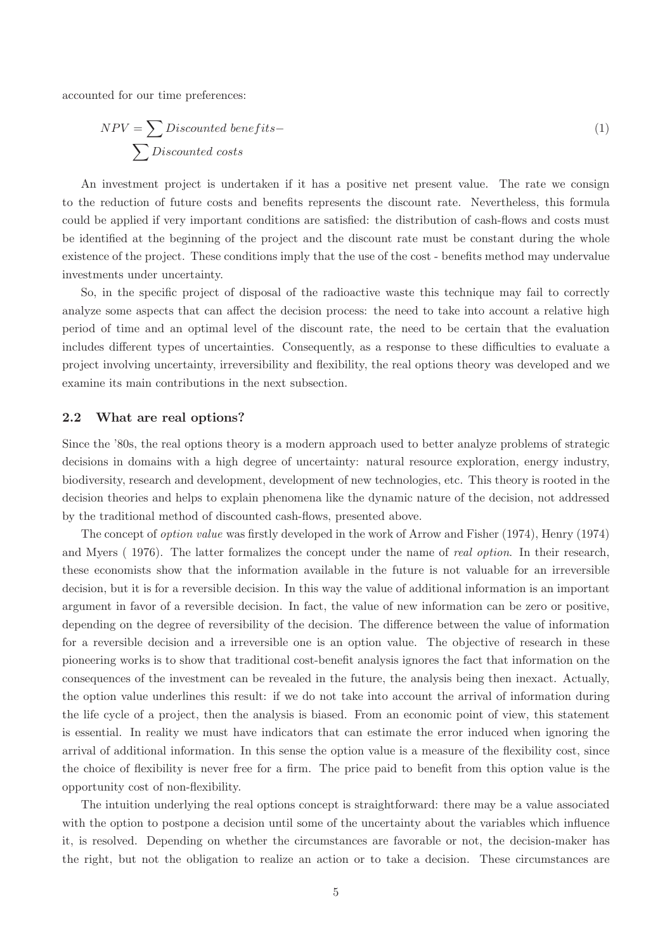accounted for our time preferences:

$$
NPV = \sum Discounted\ benefits -
$$
  

$$
\sum Discounted\ costs
$$
 (1)

An investment project is undertaken if it has a positive net present value. The rate we consign to the reduction of future costs and benefits represents the discount rate. Nevertheless, this formula could be applied if very important conditions are satisfied: the distribution of cash-flows and costs must be identified at the beginning of the project and the discount rate must be constant during the whole existence of the project. These conditions imply that the use of the cost - benefits method may undervalue investments under uncertainty.

So, in the specific project of disposal of the radioactive waste this technique may fail to correctly analyze some aspects that can affect the decision process: the need to take into account a relative high period of time and an optimal level of the discount rate, the need to be certain that the evaluation includes different types of uncertainties. Consequently, as a response to these difficulties to evaluate a project involving uncertainty, irreversibility and exibility, the real options theory was developed and we examine its main contributions in the next subsection.

#### 2.2 What are real options?

Since the '80s, the real options theory is a modern approach used to better analyze problems of strategic decisions in domains with a high degree of uncertainty: natural resource exploration, energy industry, biodiversity, research and development, development of new technologies, etc. This theory is rooted in the decision theories and helps to explain phenomena like the dynamic nature of the decision, not addressed by the traditional method of discounted cash-flows, presented above.

The concept of *option value* was firstly developed in the work of Arrow and Fisher (1974), Henry (1974) and Myers (1976). The latter formalizes the concept under the name of *real option*. In their research, these economists show that the information available in the future is not valuable for an irreversible decision, but it is for a reversible decision. In this way the value of additional information is an important argument in favor of a reversible decision. In fact, the value of new information can be zero or positive, depending on the degree of reversibility of the decision. The difference between the value of information for a reversible decision and a irreversible one is an option value. The objective of research in these pioneering works is to show that traditional cost-benefit analysis ignores the fact that information on the consequences of the investment can be revealed in the future, the analysis being then inexact. Actually, the option value underlines this result: if we do not take into account the arrival of information during the life cycle of a project, then the analysis is biased. From an economic point of view, this statement is essential. In reality we must have indicators that can estimate the error induced when ignoring the arrival of additional information. In this sense the option value is a measure of the flexibility cost, since the choice of flexibility is never free for a firm. The price paid to benefit from this option value is the opportunity cost of non-flexibility.

The intuition underlying the real options concept is straightforward: there may be a value associated with the option to postpone a decision until some of the uncertainty about the variables which influence it, is resolved. Depending on whether the circumstances are favorable or not, the decision-maker has the right, but not the obligation to realize an action or to take a decision. These circumstances are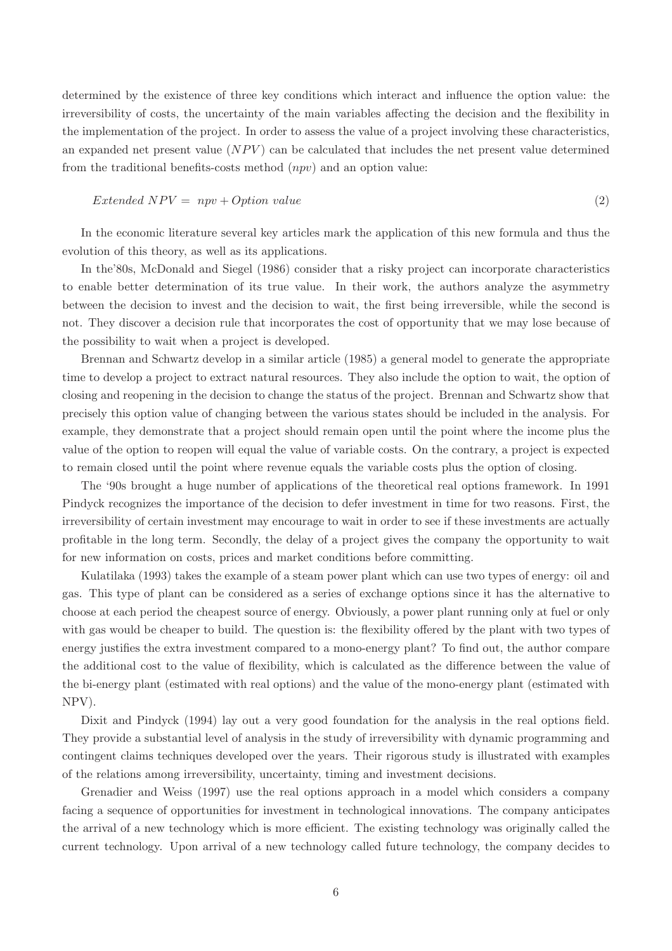determined by the existence of three key conditions which interact and influence the option value: the irreversibility of costs, the uncertainty of the main variables affecting the decision and the flexibility in the implementation of the project. In order to assess the value of a project involving these characteristics, an expanded net present value  $(NPV)$  can be calculated that includes the net present value determined from the traditional benefits-costs method  $(npv)$  and an option value:

#### $Extended NPV = npv + Option value$  (2)

In the economic literature several key articles mark the application of this new formula and thus the evolution of this theory, as well as its applications.

In the'80s, McDonald and Siegel (1986) consider that a risky project can incorporate characteristics to enable better determination of its true value. In their work, the authors analyze the asymmetry between the decision to invest and the decision to wait, the first being irreversible, while the second is not. They discover a decision rule that incorporates the cost of opportunity that we may lose because of the possibility to wait when a project is developed.

Brennan and Schwartz develop in a similar article (1985) a general model to generate the appropriate time to develop a project to extract natural resources. They also include the option to wait, the option of closing and reopening in the decision to change the status of the project. Brennan and Schwartz show that precisely this option value of changing between the various states should be included in the analysis. For example, they demonstrate that a project should remain open until the point where the income plus the value of the option to reopen will equal the value of variable costs. On the contrary, a project is expected to remain closed until the point where revenue equals the variable costs plus the option of closing.

The 90s brought a huge number of applications of the theoretical real options framework. In 1991 Pindyck recognizes the importance of the decision to defer investment in time for two reasons. First, the irreversibility of certain investment may encourage to wait in order to see if these investments are actually protable in the long term. Secondly, the delay of a project gives the company the opportunity to wait for new information on costs, prices and market conditions before committing.

Kulatilaka (1993) takes the example of a steam power plant which can use two types of energy: oil and gas. This type of plant can be considered as a series of exchange options since it has the alternative to choose at each period the cheapest source of energy. Obviously, a power plant running only at fuel or only with gas would be cheaper to build. The question is: the flexibility offered by the plant with two types of energy justifies the extra investment compared to a mono-energy plant? To find out, the author compare the additional cost to the value of flexibility, which is calculated as the difference between the value of the bi-energy plant (estimated with real options) and the value of the mono-energy plant (estimated with NPV).

Dixit and Pindyck (1994) lay out a very good foundation for the analysis in the real options field. They provide a substantial level of analysis in the study of irreversibility with dynamic programming and contingent claims techniques developed over the years. Their rigorous study is illustrated with examples of the relations among irreversibility, uncertainty, timing and investment decisions.

Grenadier and Weiss (1997) use the real options approach in a model which considers a company facing a sequence of opportunities for investment in technological innovations. The company anticipates the arrival of a new technology which is more efficient. The existing technology was originally called the current technology. Upon arrival of a new technology called future technology, the company decides to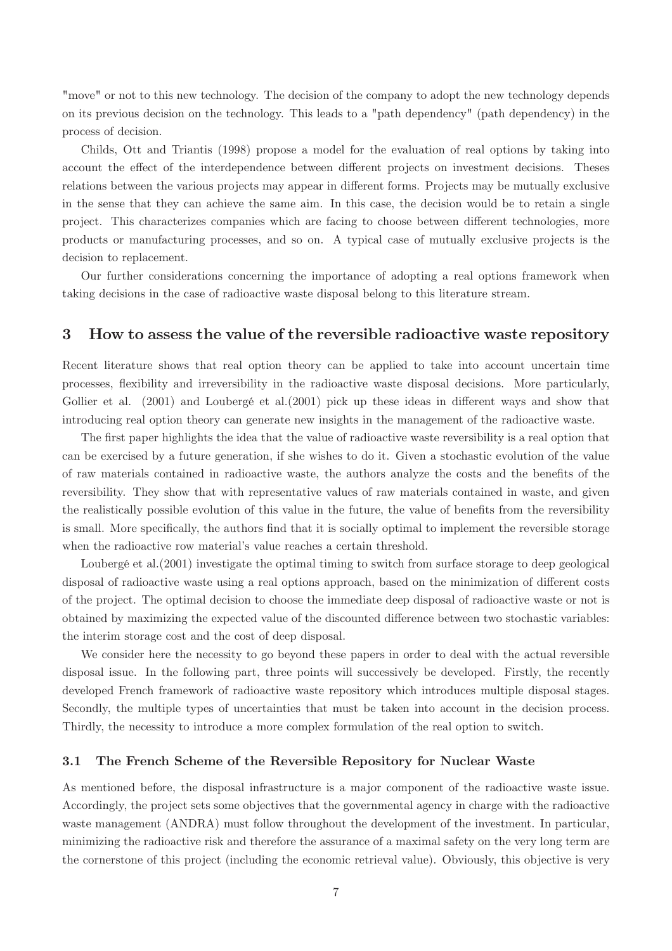"move" or not to this new technology. The decision of the company to adopt the new technology depends on its previous decision on the technology. This leads to a "path dependency" (path dependency) in the process of decision.

Childs, Ott and Triantis (1998) propose a model for the evaluation of real options by taking into account the effect of the interdependence between different projects on investment decisions. Theses relations between the various projects may appear in different forms. Projects may be mutually exclusive in the sense that they can achieve the same aim. In this case, the decision would be to retain a single project. This characterizes companies which are facing to choose between different technologies, more products or manufacturing processes, and so on. A typical case of mutually exclusive projects is the decision to replacement.

Our further considerations concerning the importance of adopting a real options framework when taking decisions in the case of radioactive waste disposal belong to this literature stream.

#### 3 How to assess the value of the reversible radioactive waste repository

Recent literature shows that real option theory can be applied to take into account uncertain time processes, flexibility and irreversibility in the radioactive waste disposal decisions. More particularly, Gollier et al.  $(2001)$  and Loubergé et al. $(2001)$  pick up these ideas in different ways and show that introducing real option theory can generate new insights in the management of the radioactive waste.

The first paper highlights the idea that the value of radioactive waste reversibility is a real option that can be exercised by a future generation, if she wishes to do it. Given a stochastic evolution of the value of raw materials contained in radioactive waste, the authors analyze the costs and the benets of the reversibility. They show that with representative values of raw materials contained in waste, and given the realistically possible evolution of this value in the future, the value of benets from the reversibility is small. More specifically, the authors find that it is socially optimal to implement the reversible storage when the radioactive row material's value reaches a certain threshold.

Loubergé et al.(2001) investigate the optimal timing to switch from surface storage to deep geological disposal of radioactive waste using a real options approach, based on the minimization of different costs of the project. The optimal decision to choose the immediate deep disposal of radioactive waste or not is obtained by maximizing the expected value of the discounted difference between two stochastic variables: the interim storage cost and the cost of deep disposal.

We consider here the necessity to go beyond these papers in order to deal with the actual reversible disposal issue. In the following part, three points will successively be developed. Firstly, the recently developed French framework of radioactive waste repository which introduces multiple disposal stages. Secondly, the multiple types of uncertainties that must be taken into account in the decision process. Thirdly, the necessity to introduce a more complex formulation of the real option to switch.

#### 3.1 The French Scheme of the Reversible Repository for Nuclear Waste

As mentioned before, the disposal infrastructure is a major component of the radioactive waste issue. Accordingly, the project sets some objectives that the governmental agency in charge with the radioactive waste management (ANDRA) must follow throughout the development of the investment. In particular, minimizing the radioactive risk and therefore the assurance of a maximal safety on the very long term are the cornerstone of this project (including the economic retrieval value). Obviously, this objective is very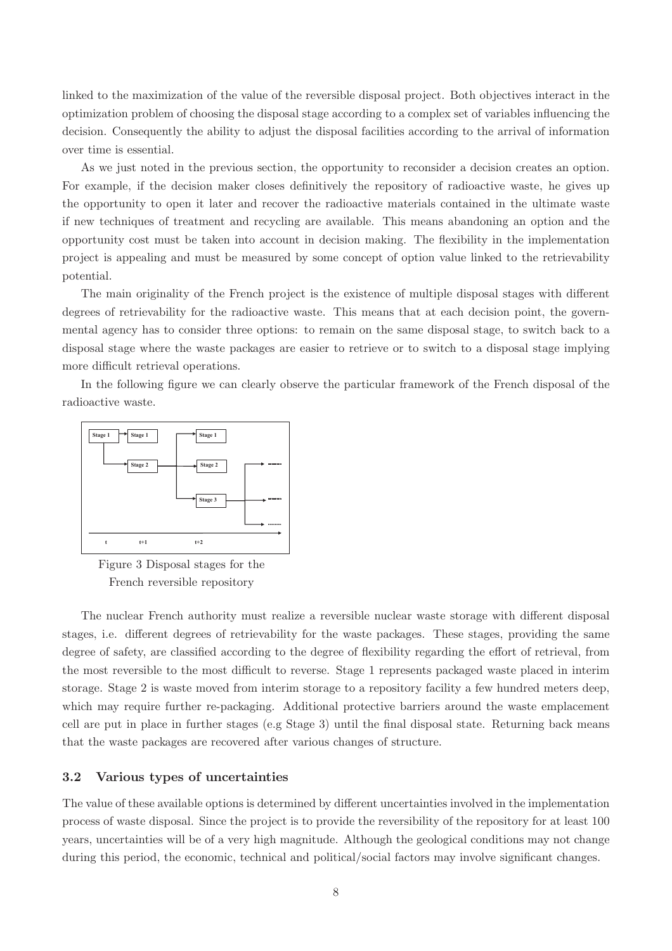linked to the maximization of the value of the reversible disposal project. Both objectives interact in the optimization problem of choosing the disposal stage according to a complex set of variables influencing the decision. Consequently the ability to adjust the disposal facilities according to the arrival of information over time is essential.

As we just noted in the previous section, the opportunity to reconsider a decision creates an option. For example, if the decision maker closes definitively the repository of radioactive waste, he gives up the opportunity to open it later and recover the radioactive materials contained in the ultimate waste if new techniques of treatment and recycling are available. This means abandoning an option and the opportunity cost must be taken into account in decision making. The flexibility in the implementation project is appealing and must be measured by some concept of option value linked to the retrievability potential.

The main originality of the French project is the existence of multiple disposal stages with different degrees of retrievability for the radioactive waste. This means that at each decision point, the governmental agency has to consider three options: to remain on the same disposal stage, to switch back to a disposal stage where the waste packages are easier to retrieve or to switch to a disposal stage implying more difficult retrieval operations.

In the following figure we can clearly observe the particular framework of the French disposal of the radioactive waste.



Figure 3 Disposal stages for the French reversible repository

The nuclear French authority must realize a reversible nuclear waste storage with different disposal stages, i.e. different degrees of retrievability for the waste packages. These stages, providing the same degree of safety, are classified according to the degree of flexibility regarding the effort of retrieval, from the most reversible to the most difficult to reverse. Stage 1 represents packaged waste placed in interim storage. Stage 2 is waste moved from interim storage to a repository facility a few hundred meters deep, which may require further re-packaging. Additional protective barriers around the waste emplacement cell are put in place in further stages (e.g Stage 3) until the final disposal state. Returning back means that the waste packages are recovered after various changes of structure.

#### 3.2 Various types of uncertainties

The value of these available options is determined by different uncertainties involved in the implementation process of waste disposal. Since the project is to provide the reversibility of the repository for at least 100 years, uncertainties will be of a very high magnitude. Although the geological conditions may not change during this period, the economic, technical and political/social factors may involve significant changes.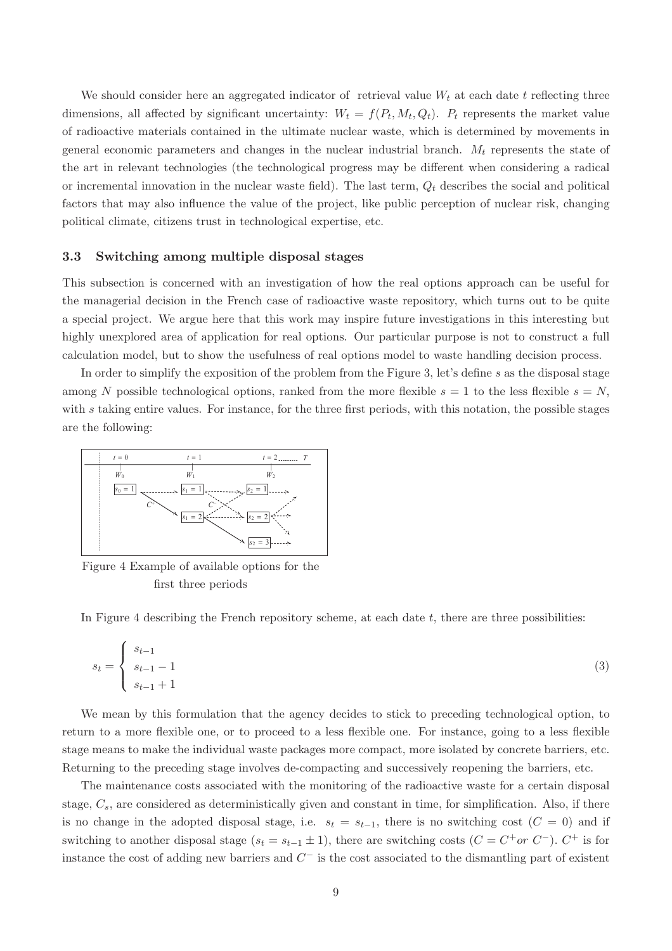We should consider here an aggregated indicator of retrieval value  $W_t$  at each date t reflecting three dimensions, all affected by significant uncertainty:  $W_t = f(P_t, M_t, Q_t)$ .  $P_t$  represents the market value of radioactive materials contained in the ultimate nuclear waste, which is determined by movements in general economic parameters and changes in the nuclear industrial branch.  $M_t$  represents the state of the art in relevant technologies (the technological progress may be different when considering a radical or incremental innovation in the nuclear waste field). The last term,  $Q_t$  describes the social and political factors that may also influence the value of the project, like public perception of nuclear risk, changing political climate, citizens trust in technological expertise, etc.

#### 3.3 Switching among multiple disposal stages

This subsection is concerned with an investigation of how the real options approach can be useful for the managerial decision in the French case of radioactive waste repository, which turns out to be quite a special project. We argue here that this work may inspire future investigations in this interesting but highly unexplored area of application for real options. Our particular purpose is not to construct a full calculation model, but to show the usefulness of real options model to waste handling decision process.

In order to simplify the exposition of the problem from the Figure 3, let's define  $s$  as the disposal stage among N possible technological options, ranked from the more flexible  $s = 1$  to the less flexible  $s = N$ , with  $s$  taking entire values. For instance, for the three first periods, with this notation, the possible stages are the following:



Figure 4 Example of available options for the first three periods

In Figure 4 describing the French repository scheme, at each date  $t$ , there are three possibilities:

$$
s_t = \begin{cases} s_{t-1} \\ s_{t-1} - 1 \\ s_{t-1} + 1 \end{cases} \tag{3}
$$

We mean by this formulation that the agency decides to stick to preceding technological option, to return to a more flexible one, or to proceed to a less flexible one. For instance, going to a less flexible stage means to make the individual waste packages more compact, more isolated by concrete barriers, etc. Returning to the preceding stage involves de-compacting and successively reopening the barriers, etc.

The maintenance costs associated with the monitoring of the radioactive waste for a certain disposal stage,  $C_s$ , are considered as deterministically given and constant in time, for simplification. Also, if there is no change in the adopted disposal stage, i.e.  $s_t = s_{t-1}$ , there is no switching cost  $(C = 0)$  and if switching to another disposal stage  $(s_t = s_{t-1} \pm 1)$ , there are switching costs  $(C = C^+ or C^-)$ .  $C^+$  is for instance the cost of adding new barriers and  $C^-$  is the cost associated to the dismantling part of existent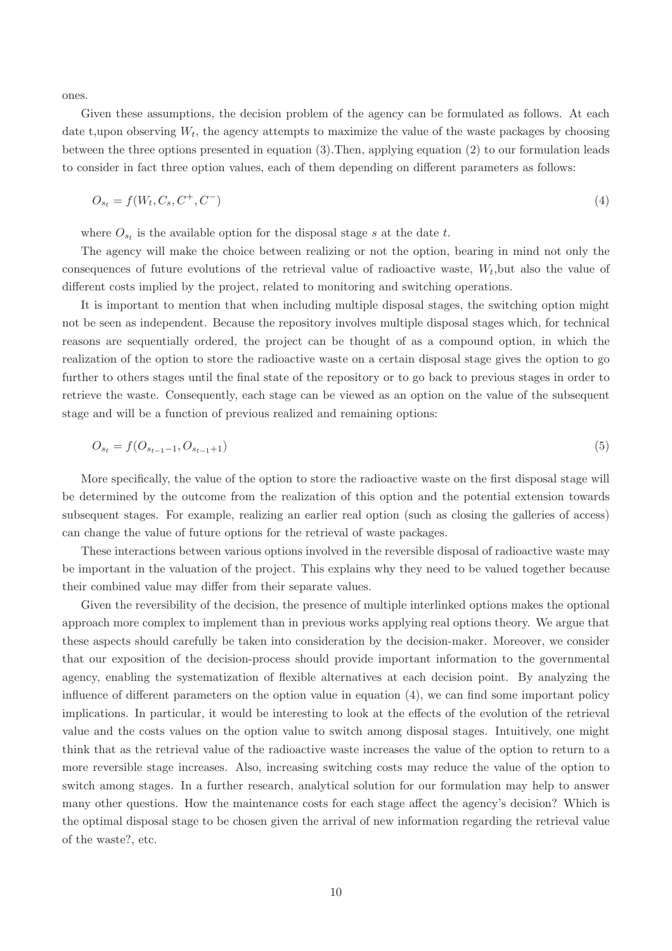ones.

Given these assumptions, the decision problem of the agency can be formulated as follows. At each date t, upon observing  $W_t$ , the agency attempts to maximize the value of the waste packages by choosing between the three options presented in equation (3):Then, applying equation (2) to our formulation leads to consider in fact three option values, each of them depending on different parameters as follows:

$$
O_{s_t} = f(W_t, C_s, C^+, C^-) \tag{4}
$$

where  $O_{s_t}$  is the available option for the disposal stage s at the date t.

The agency will make the choice between realizing or not the option, bearing in mind not only the consequences of future evolutions of the retrieval value of radioactive waste,  $W_t$ , but also the value of different costs implied by the project, related to monitoring and switching operations.

It is important to mention that when including multiple disposal stages, the switching option might not be seen as independent. Because the repository involves multiple disposal stages which, for technical reasons are sequentially ordered, the project can be thought of as a compound option, in which the realization of the option to store the radioactive waste on a certain disposal stage gives the option to go further to others stages until the final state of the repository or to go back to previous stages in order to retrieve the waste. Consequently, each stage can be viewed as an option on the value of the subsequent stage and will be a function of previous realized and remaining options:

$$
O_{s_t} = f(O_{s_{t-1}-1}, O_{s_{t-1}+1})
$$
\n<sup>(5)</sup>

More specifically, the value of the option to store the radioactive waste on the first disposal stage will be determined by the outcome from the realization of this option and the potential extension towards subsequent stages. For example, realizing an earlier real option (such as closing the galleries of access) can change the value of future options for the retrieval of waste packages.

These interactions between various options involved in the reversible disposal of radioactive waste may be important in the valuation of the project. This explains why they need to be valued together because their combined value may differ from their separate values.

Given the reversibility of the decision, the presence of multiple interlinked options makes the optional approach more complex to implement than in previous works applying real options theory. We argue that these aspects should carefully be taken into consideration by the decision-maker. Moreover, we consider that our exposition of the decision-process should provide important information to the governmental agency, enabling the systematization of flexible alternatives at each decision point. By analyzing the influence of different parameters on the option value in equation  $(4)$ , we can find some important policy implications. In particular, it would be interesting to look at the effects of the evolution of the retrieval value and the costs values on the option value to switch among disposal stages. Intuitively, one might think that as the retrieval value of the radioactive waste increases the value of the option to return to a more reversible stage increases. Also, increasing switching costs may reduce the value of the option to switch among stages. In a further research, analytical solution for our formulation may help to answer many other questions. How the maintenance costs for each stage affect the agency's decision? Which is the optimal disposal stage to be chosen given the arrival of new information regarding the retrieval value of the waste?, etc.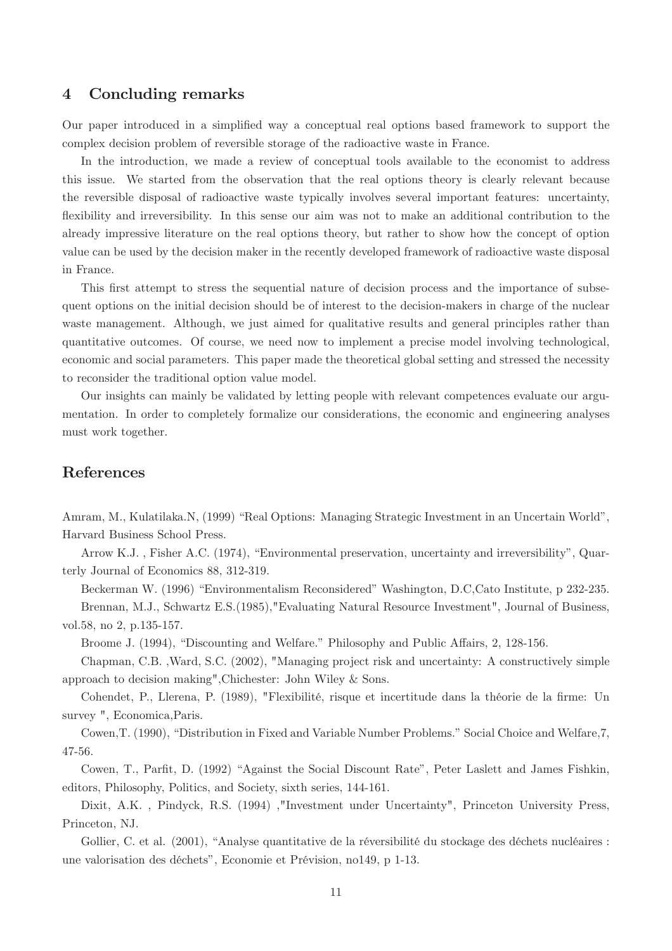#### 4 Concluding remarks

Our paper introduced in a simplied way a conceptual real options based framework to support the complex decision problem of reversible storage of the radioactive waste in France.

In the introduction, we made a review of conceptual tools available to the economist to address this issue. We started from the observation that the real options theory is clearly relevant because the reversible disposal of radioactive waste typically involves several important features: uncertainty, flexibility and irreversibility. In this sense our aim was not to make an additional contribution to the already impressive literature on the real options theory, but rather to show how the concept of option value can be used by the decision maker in the recently developed framework of radioactive waste disposal in France.

This first attempt to stress the sequential nature of decision process and the importance of subsequent options on the initial decision should be of interest to the decision-makers in charge of the nuclear waste management. Although, we just aimed for qualitative results and general principles rather than quantitative outcomes. Of course, we need now to implement a precise model involving technological, economic and social parameters. This paper made the theoretical global setting and stressed the necessity to reconsider the traditional option value model.

Our insights can mainly be validated by letting people with relevant competences evaluate our argumentation. In order to completely formalize our considerations, the economic and engineering analyses must work together.

#### References

Amram, M., Kulatilaka.N, (1999) "Real Options: Managing Strategic Investment in an Uncertain World", Harvard Business School Press.

Arrow K.J., Fisher A.C. (1974), "Environmental preservation, uncertainty and irreversibility", Quarterly Journal of Economics 88, 312-319.

Beckerman W. (1996) "Environmentalism Reconsidered" Washington, D.C,Cato Institute, p 232-235.

Brennan, M.J., Schwartz E.S.(1985),"Evaluating Natural Resource Investment", Journal of Business, vol.58, no 2, p.135-157.

Broome J. (1994), "Discounting and Welfare." Philosophy and Public Affairs, 2, 128-156.

Chapman, C.B. ,Ward, S.C. (2002), "Managing project risk and uncertainty: A constructively simple approach to decision making",Chichester: John Wiley & Sons.

Cohendet, P., Llerena, P. (1989), "Flexibilité, risque et incertitude dans la théorie de la firme: Un survey ", Economica,Paris.

Cowen, T. (1990), "Distribution in Fixed and Variable Number Problems." Social Choice and Welfare, 7, 47-56.

Cowen, T., Parfit, D. (1992) "Against the Social Discount Rate", Peter Laslett and James Fishkin, editors, Philosophy, Politics, and Society, sixth series, 144-161.

Dixit, A.K. , Pindyck, R.S. (1994) ,"Investment under Uncertainty", Princeton University Press, Princeton, NJ.

Gollier, C. et al. (2001), "Analyse quantitative de la réversibilité du stockage des déchets nucléaires : une valorisation des déchets", Economie et Prévision, no149, p 1-13.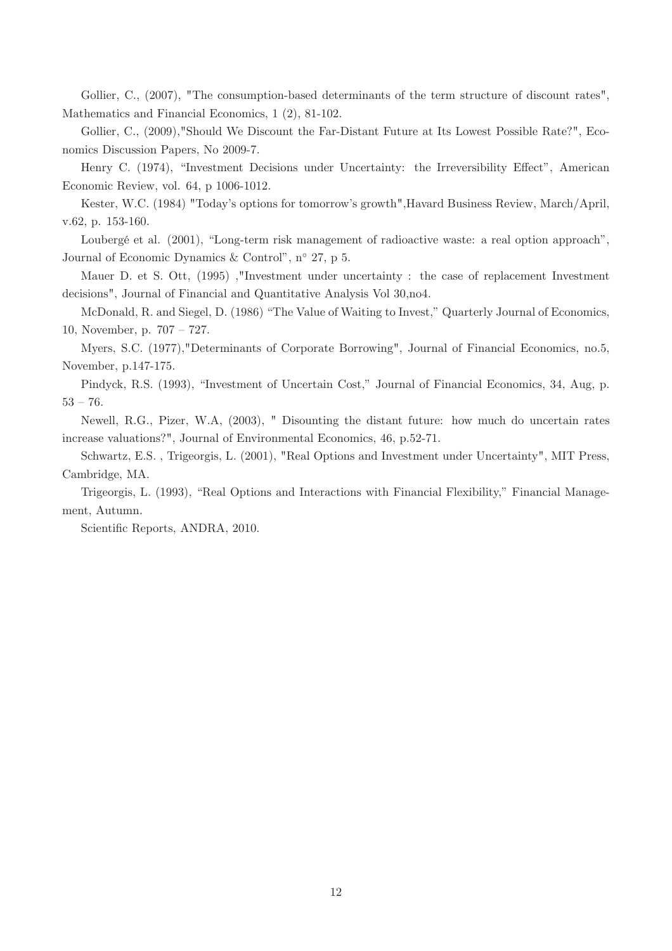Gollier, C., (2007), "The consumption-based determinants of the term structure of discount rates", Mathematics and Financial Economics, 1 (2), 81-102.

Gollier, C., (2009),"Should We Discount the Far-Distant Future at Its Lowest Possible Rate?", Economics Discussion Papers, No 2009-7.

Henry C. (1974), "Investment Decisions under Uncertainty: the Irreversibility Effect", American Economic Review, vol. 64, p 1006-1012.

Kester, W.C. (1984) "Today's options for tomorrow's growth", Havard Business Review, March/April, v.62, p. 153-160.

Loubergé et al. (2001), "Long-term risk management of radioactive waste: a real option approach", Journal of Economic Dynamics & Control",  $n^{\circ}$  27, p 5.

Mauer D. et S. Ott, (1995) ,"Investment under uncertainty : the case of replacement Investment decisions", Journal of Financial and Quantitative Analysis Vol 30,no4.

McDonald, R. and Siegel, D. (1986) "The Value of Waiting to Invest," Quarterly Journal of Economics, 10, November, p.  $707 - 727$ .

Myers, S.C. (1977),"Determinants of Corporate Borrowing", Journal of Financial Economics, no.5, November, p.147-175.

Pindyck, R.S. (1993), "Investment of Uncertain Cost," Journal of Financial Economics, 34, Aug, p.  $53 - 76.$ 

Newell, R.G., Pizer, W.A, (2003), " Disounting the distant future: how much do uncertain rates increase valuations?", Journal of Environmental Economics, 46, p.52-71.

Schwartz, E.S. , Trigeorgis, L. (2001), "Real Options and Investment under Uncertainty", MIT Press, Cambridge, MA.

Trigeorgis, L. (1993), "Real Options and Interactions with Financial Flexibility," Financial Management, Autumn.

Scientific Reports, ANDRA, 2010.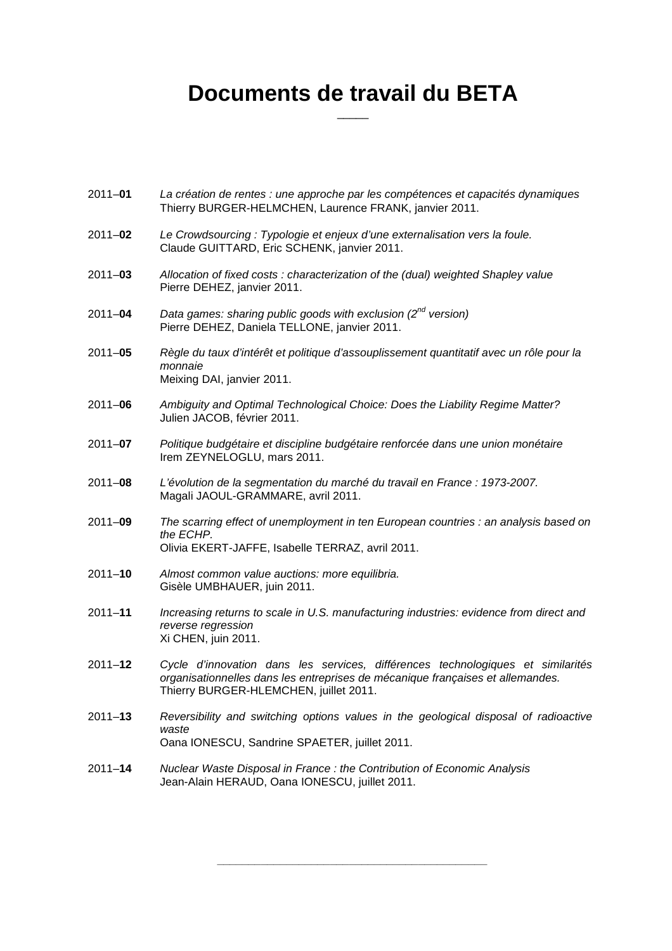### **Documents de travail du BETA**   $\overline{\phantom{a}}$

- 2011–**01** La création de rentes : une approche par les compétences et capacités dynamiques Thierry BURGER-HELMCHEN, Laurence FRANK, janvier 2011.
- 2011–**02** Le Crowdsourcing : Typologie et enjeux d'une externalisation vers la foule. Claude GUITTARD, Eric SCHENK, janvier 2011.
- 2011–**03** Allocation of fixed costs : characterization of the (dual) weighted Shapley value Pierre DEHEZ, janvier 2011.
- 2011–**04** Data games: sharing public goods with exclusion (2<sup>nd</sup> version) Pierre DEHEZ, Daniela TELLONE, janvier 2011.
- 2011–**05** Règle du taux d'intérêt et politique d'assouplissement quantitatif avec un rôle pour la monnaie Meixing DAI, janvier 2011.
- 2011–**06** Ambiguity and Optimal Technological Choice: Does the Liability Regime Matter? Julien JACOB, février 2011.
- 2011–**07** Politique budgétaire et discipline budgétaire renforcée dans une union monétaire Irem ZEYNELOGLU, mars 2011.
- 2011–**08** L'évolution de la segmentation du marché du travail en France : 1973-2007. Magali JAOUL-GRAMMARE, avril 2011.
- 2011–**09** The scarring effect of unemployment in ten European countries : an analysis based on the ECHP. Olivia EKERT-JAFFE, Isabelle TERRAZ, avril 2011.
- 2011–**10** Almost common value auctions: more equilibria. Gisèle UMBHAUER, juin 2011.
- 2011–**11** Increasing returns to scale in U.S. manufacturing industries: evidence from direct and reverse regression Xi CHEN, juin 2011.
- 2011–**12** Cycle d'innovation dans les services, différences technologiques et similarités organisationnelles dans les entreprises de mécanique françaises et allemandes. Thierry BURGER-HLEMCHEN, juillet 2011.
- 2011–**13** Reversibility and switching options values in the geological disposal of radioactive waste Oana IONESCU, Sandrine SPAETER, juillet 2011.

\_\_\_\_\_\_\_\_\_\_\_\_\_\_\_\_\_\_\_\_\_\_\_\_\_\_\_\_\_\_\_\_\_\_\_\_\_\_\_\_\_\_\_

2011–**<sup>14</sup>** Nuclear Waste Disposal in France : the Contribution of Economic Analysis Jean-Alain HERAUD, Oana IONESCU, juillet 2011.